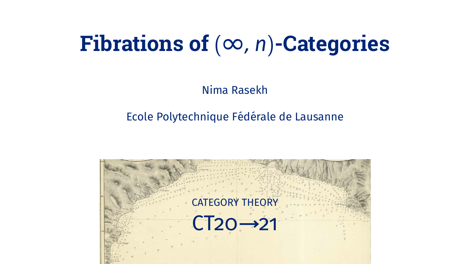## Fibrations of  $(\infty, n)$ -Categories

Nima Rasekh

#### Ecole Polytechnique Fédérale de Lausanne

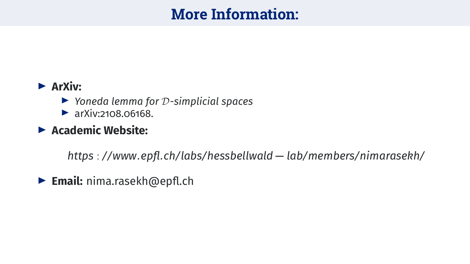## **More Information:**

#### $\rightharpoonup$  ArXiv:

- $\triangleright$  Yoneda lemma for  $\mathcal D$ -simplicial spaces
- $\triangleright$  arXiv:2108.06168.

#### $\blacktriangleright$  Academic Website:

https://www.epfl.ch/labs/hessbellwald-lab/members/nimarasekh/

 $\triangleright$  Email: nima.rasekh@epfl.ch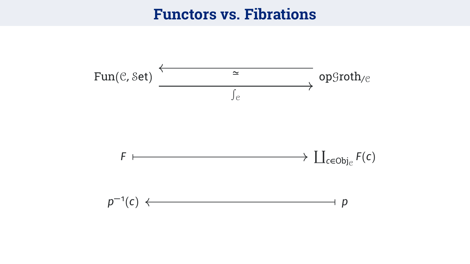#### **Functors vs. Fibrations**

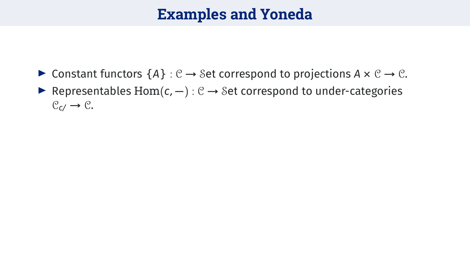### **Examples and Yoneda**

**►** Constant functors  ${A}$  :  $C$  → Set correspond to projections  $A \times C$  →  $C$ . **É** Representables Hom(*c*, **−**) : C **→** Set correspond to under-categories

 $C_{c}$   $\rightarrow$   $C$ .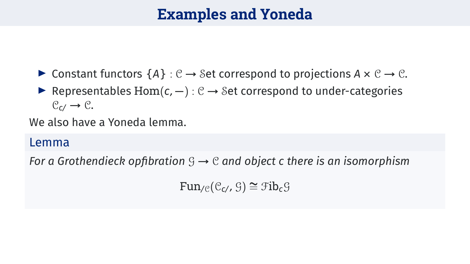## **Examples and Yoneda**

- **►** Constant functors  ${A}$  :  $C \rightarrow Set$  correspond to projections  $A \times C \rightarrow C$ .
- **É** Representables Hom(*c*, **−**) : C **→** Set correspond to under-categories  $C_{c}$ /  $\rightarrow$   $C_{c}$ .

We also have a Yoneda lemma.

#### Lemma

*For a Grothendieck opfibration* G **→** C *and object c there is an isomorphism*

 $Fun_{\ell}(\mathcal{C}_{c}, \mathcal{G}) \cong \mathcal{F}ib_c\mathcal{G}$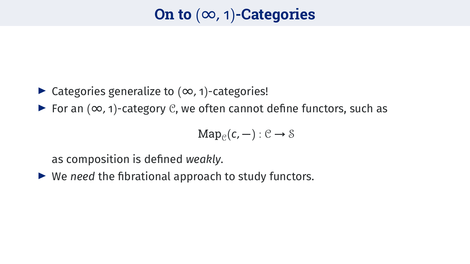## **On to** (∞, 1)**-Categories**

#### **É** Categories generalize to (∞, 1)-categories!

**É** For an (∞, 1)-category C, we often cannot define functors, such as

$$
Map_{\mathcal{C}}(c,-): \mathcal{C} \rightarrow \mathcal{S}
$$

as composition is defined *weakly*.

► We *need* the fibrational approach to study functors.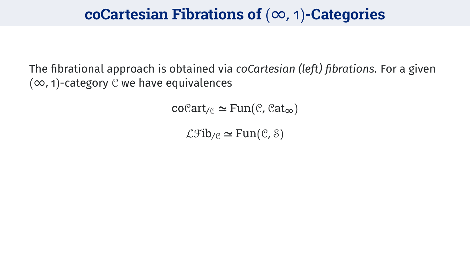#### **coCartesian Fibrations of** (∞, 1)**-Categories**

The fibrational approach is obtained via *coCartesian (left) fibrations*. For a given (∞, 1)-category C we have equivalences

 $\operatorname{coCart}_{\ell} \cong \operatorname{Fun}(\mathcal{C}, \mathcal{C}at_{\infty})$ 

 $\mathcal{L}$ Fib<sub>/C</sub>  $\simeq$  Fun(C, S)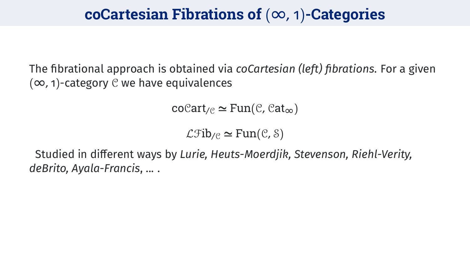#### **coCartesian Fibrations of** (∞, 1)**-Categories**

The fibrational approach is obtained via *coCartesian (left) fibrations*. For a given (∞, 1)-category C we have equivalences

 $\operatorname{coCart}_{\mathcal{C}} \simeq \operatorname{Fun}(\mathcal{C}, \mathcal{C}at_{\infty})$ 

 $\mathcal{L}$ Fib<sub>/C</sub>  $\simeq$  Fun(C, S)

Studied in different ways by *Lurie, Heuts-Moerdjik, Stevenson, Riehl-Verity, deBrito, Ayala-Francis*, ... .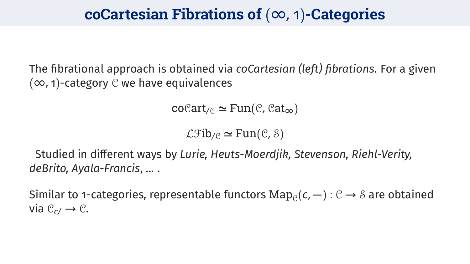#### **coCartesian Fibrations of** (∞, 1)**-Categories**

The fibrational approach is obtained via *coCartesian (left) fibrations*. For a given (∞, 1)-category C we have equivalences

 $\operatorname{coCart}_{\mathcal{C}} \simeq \operatorname{Fun}(\mathcal{C}, \mathcal{C}at_{\infty})$ 

 $\mathcal{L}$ Fib<sub>/C</sub>  $\simeq$  Fun(C, S)

Studied in different ways by *Lurie, Heuts-Moerdjik, Stevenson, Riehl-Verity, deBrito, Ayala-Francis*, ... .

Similar to 1-categories, representable functors  $\text{Map}_{\mathcal{C}}(\textsf{c},-)$  :  $\mathcal{C}\rightarrow \mathcal{S}$  are obtained via  $C_{c}$   $\rightarrow$   $C$ .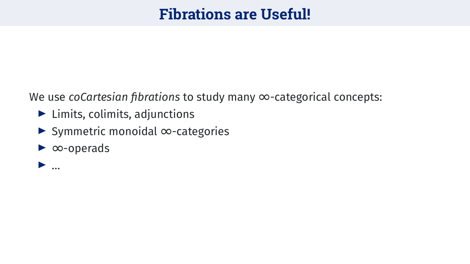#### **Fibrations are Useful!**

We use coCartesian fibrations to study many  $\infty$ -categorical concepts:

- $\blacktriangleright$  Limits, colimits, adjunctions
- Symmetric monoidal  $\infty$ -categories
- $\triangleright$   $\infty$ -operads
- $\blacktriangleright$  ...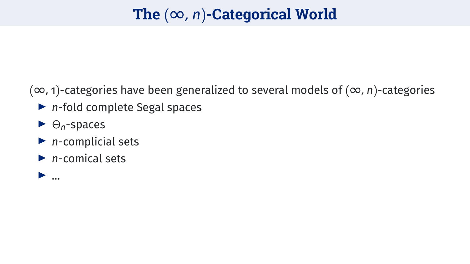## **The** (∞, *n*)**-Categorical World**

(∞, 1)-categories have been generalized to several models of (∞, *n*)-categories

- **É** *n*-fold complete Segal spaces
- **É** Θ*n*-spaces
- **É** *n*-complicial sets
- **É** *n*-comical sets

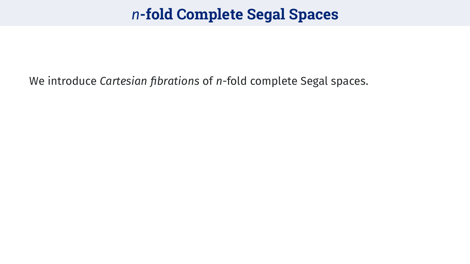## *n***-fold Complete Segal Spaces**

We introduce *Cartesian fibrations* of *n*-fold complete Segal spaces.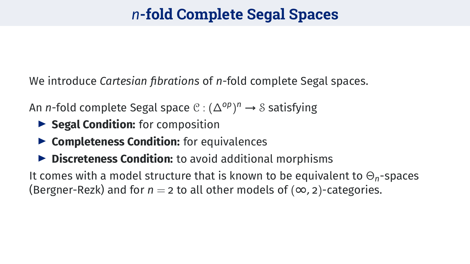## *n***-fold Complete Segal Spaces**

We introduce *Cartesian fibrations* of *n*-fold complete Segal spaces.

An *n*-fold complete Segal space C : (∆*op*) *<sup>n</sup>* **→** S satisfying

- **É Segal Condition:** for composition
- ▶ **Completeness Condition:** for equivalences
- **É Discreteness Condition:** to avoid additional morphisms

It comes with a model structure that is known to be equivalent to Θ*n*-spaces (Bergner-Rezk) and for  $n = 2$  to all other models of  $(\infty, 2)$ -categories.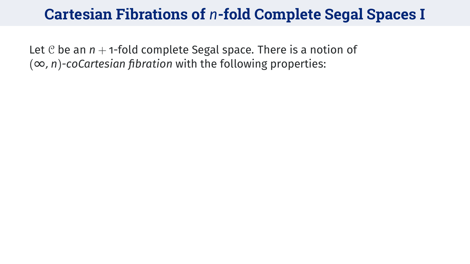Let  $C$  be an  $n + 1$ -fold complete Segal space. There is a notion of (∞, *n*)*-coCartesian fibration* with the following properties: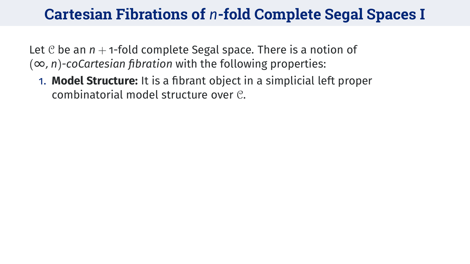Let  $\mathcal C$  be an  $n + 1$ -fold complete Segal space. There is a notion of (∞, *n*)*-coCartesian fibration* with the following properties:

1. **Model Structure:** It is a fibrant object in a simplicial left proper combinatorial model structure over C.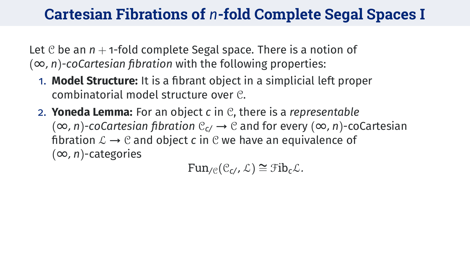Let  $\mathcal C$  be an  $n + 1$ -fold complete Segal space. There is a notion of (∞, *n*)*-coCartesian fibration* with the following properties:

- 1. **Model Structure:** It is a fibrant object in a simplicial left proper combinatorial model structure over C.
- 2. **Yoneda Lemma:** For an object *c* in C, there is a *representable* (∞, *n*)*-coCartesian fibration* C*c*/ **→** C and for every (∞, *n*)-coCartesian fibration  $\mathcal{L} \rightarrow \mathcal{C}$  and object *c* in  $\mathcal{C}$  we have an equivalence of (∞, *n*)-categories

 $Fun_{\ell}(\mathcal{C}_{c}, \mathcal{L}) \cong \mathcal{F}ib_{c}\mathcal{L}.$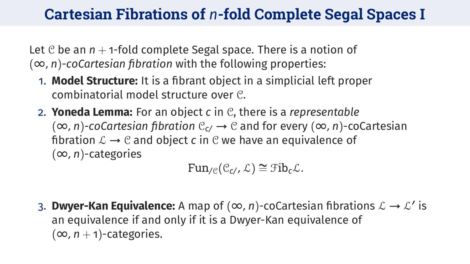Let  $C$  be an  $n + 1$ -fold complete Segal space. There is a notion of (∞, *n*)*-coCartesian fibration* with the following properties:

- 1. **Model Structure:** It is a fibrant object in a simplicial left proper combinatorial model structure over C.
- 2. **Yoneda Lemma:** For an object *c* in C, there is a *representable* (∞, *n*)*-coCartesian fibration* C*c*/ **→** C and for every (∞, *n*)-coCartesian fibration  $\mathcal{L} \rightarrow \mathcal{C}$  and object *c* in  $\mathcal{C}$  we have an equivalence of (∞, *n*)-categories

 $Fun_{\ell\in}(\mathcal{C}_{c}, \mathcal{L}) \cong \mathfrak{Fib}_{c}\mathcal{L}.$ 

3. Dwyer-Kan Equivalence: A map of  $(\infty, n)$ -coCartesian fibrations  $\mathcal{L} \rightarrow \mathcal{L}'$  is an equivalence if and only if it is a Dwyer-Kan equivalence of  $(\infty, n + 1)$ -categories.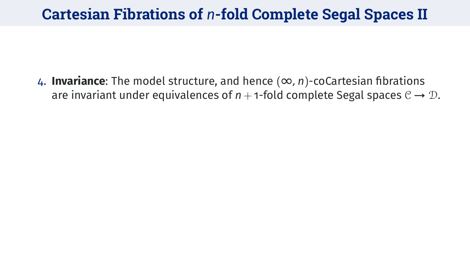4. **Invariance**: The model structure, and hence (∞, *n*)-coCartesian fibrations are invariant under equivalences of  $n + 1$ -fold complete Segal spaces  $C \rightarrow D$ .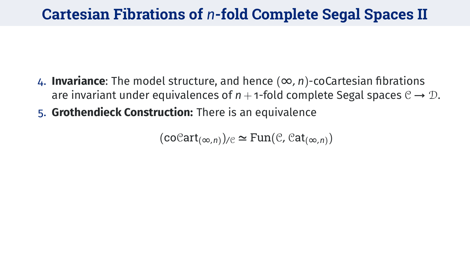- 4. **Invariance**: The model structure, and hence (∞, *n*)-coCartesian fibrations are invariant under equivalences of  $n + 1$ -fold complete Segal spaces  $C \rightarrow \mathcal{D}$ .
- 5. **Grothendieck Construction:** There is an equivalence

 $(\operatorname{coCart}_{(\infty,n)})_{\ell} \simeq \operatorname{Fun}(\mathcal{C}, \mathcal{C}at_{(\infty,n)})$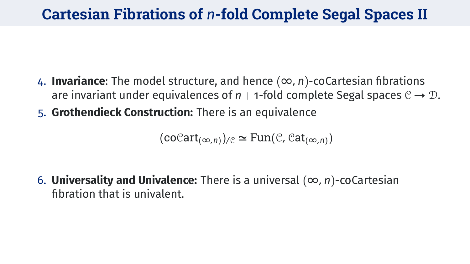- 4. **Invariance**: The model structure, and hence (∞, *n*)-coCartesian fibrations are invariant under equivalences of  $n + 1$ -fold complete Segal spaces  $C \rightarrow \mathcal{D}$ .
- 5. **Grothendieck Construction:** There is an equivalence

 $(\operatorname{coCart}_{(\infty,n)})_{\ell} \simeq \operatorname{Fun}(\mathcal{C}, \mathcal{C}at_{(\infty,n)})$ 

6. **Universality and Univalence:** There is a universal  $(\infty, n)$ -coCartesian fibration that is univalent.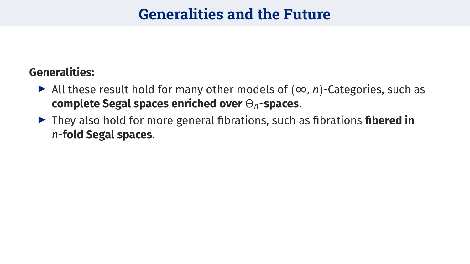### **Generalities and the Future**

#### **Generalities:**

- **É** All these result hold for many other models of (∞, *n*)-Categories, such as **complete Segal spaces enriched over** Θ*n***-spaces**.
- **É** They also hold for more general fibrations, such as fibrations **fibered in** *n***-fold Segal spaces**.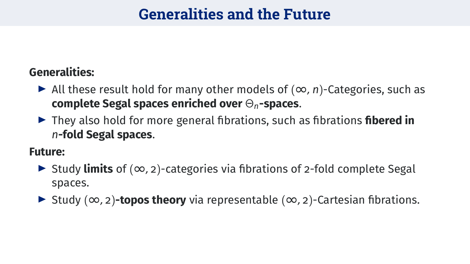### **Generalities and the Future**

#### **Generalities:**

- **É** All these result hold for many other models of (∞, *n*)-Categories, such as **complete Segal spaces enriched over** Θ*n***-spaces**.
- **É** They also hold for more general fibrations, such as fibrations **fibered in** *n***-fold Segal spaces**.

**Future:**

- **É** Study **limits** of (∞, 2)-categories via fibrations of 2-fold complete Segal spaces.
- **É** Study (∞, 2)**-topos theory** via representable (∞, 2)-Cartesian fibrations.